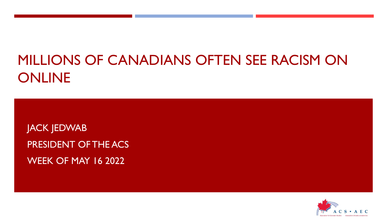# MILLIONS OF CANADIANS OFTEN SEE RACISM ON ONLINE

JACK JEDWAB PRESIDENT OF THE ACS WEEK OF MAY 16 2022

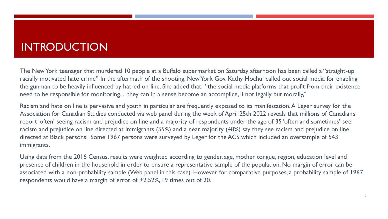### INTRODUCTION

The New York teenager that murdered 10 people at a Buffalo supermarket on Saturday afternoon has been called a "straight-up racially motivated hate crime" In the aftermath of the shooting, New York Gov. Kathy Hochul called out social media for enabling the gunman to be heavily influenced by hatred on line. She added that: "the social media platforms that profit from their existence need to be responsible for monitoring... they can in a sense become an accomplice, if not legally but morally,"

Racism and hate on line is pervasive and youth in particular are frequently exposed to its manifestation. A Leger survey for the Association for Canadian Studies conducted via web panel during the week of April 25th 2022 reveals that millions of Canadians report 'often' seeing racism and prejudice on line and a majority of respondents under the age of 35 'often and sometimes' see racism and prejudice on line directed at immigrants (55%) and a near majority (48%) say they see racism and prejudice on line directed at Black persons. Some 1967 persons were surveyed by Leger for the ACS which included an oversample of 543 immigrants.

Using data from the 2016 Census, results were weighted according to gender, age, mother tongue, region, education level and presence of children in the household in order to ensure a representative sample of the population. No margin of error can be associated with a non-probability sample (Web panel in this case). However for comparative purposes, a probability sample of 1967 respondents would have a margin of error of ±2.52%, 19 times out of 20.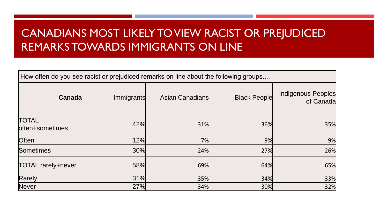# CANADIANS MOST LIKELY TO VIEW RACIST OR PREJUDICED REMARKS TOWARDS IMMIGRANTS ON LINE

| How often do you see racist or prejudiced remarks on line about the following groups |            |                        |                     |                                 |  |  |  |  |  |
|--------------------------------------------------------------------------------------|------------|------------------------|---------------------|---------------------------------|--|--|--|--|--|
| Canada                                                                               | Immigrants | <b>Asian Canadians</b> | <b>Black People</b> | Indigenous Peoples<br>of Canada |  |  |  |  |  |
| <b>TOTAL</b><br>loften+sometimes                                                     | 42%        | 31%                    | 36%                 | 35%                             |  |  |  |  |  |
| <b>Often</b>                                                                         | 12%        | 7%                     | 9%                  | 9%                              |  |  |  |  |  |
| Sometimes                                                                            | 30%        | 24%                    | 27%                 | 26%                             |  |  |  |  |  |
| <b>TOTAL rarely+never</b>                                                            | 58%        | 69%                    | 64%                 | 65%                             |  |  |  |  |  |
| Rarely                                                                               | 31%        | 35%                    | 34%                 | 33%                             |  |  |  |  |  |
| Never                                                                                | 27%        | 34%                    | 30%                 | 32%                             |  |  |  |  |  |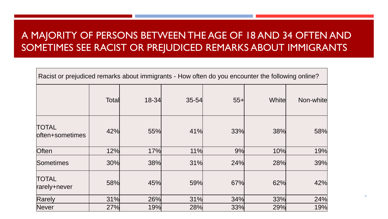#### A MAJORITY OF PERSONS BETWEEN THE AGE OF 18 AND 34 OFTEN AND SOMETIMES SEE RACIST OR PREJUDICED REMARKS ABOUT IMMIGRANTS

| Racist or prejudiced remarks about immigrants - How often do you encounter the following online? |       |           |           |       |        |           |
|--------------------------------------------------------------------------------------------------|-------|-----------|-----------|-------|--------|-----------|
|                                                                                                  | Total | $18 - 34$ | $35 - 54$ | $55+$ | Whitel | Non-white |
| <b>TOTAL</b><br>often+sometimes                                                                  | 42%   | 55%       | 41%       | 33%   | 38%    | 58%       |
| <b>Often</b>                                                                                     | 12%   | 17%       | 11%       | 9%    | 10%    | 19%       |
| Sometimes                                                                                        | 30%   | 38%       | 31%       | 24%   | 28%    | 39%       |
| <b>TOTAL</b><br>rarely+never                                                                     | 58%   | 45%       | 59%       | 67%   | 62%    | 42%       |
| Rarely                                                                                           | 31%   | 26%       | 31%       | 34%   | 33%    | 24%       |
| Never                                                                                            | 27%   | 19%       | 28%       | 33%   | 29%    | 19%       |

4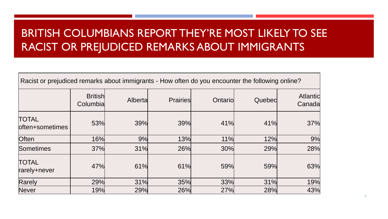# BRITISH COLUMBIANS REPORT THEY'RE MOST LIKELY TO SEE RACIST OR PREJUDICED REMARKS ABOUT IMMIGRANTS

| Racist or prejudiced remarks about immigrants - How often do you encounter the following online? |                            |          |                 |            |        |                           |
|--------------------------------------------------------------------------------------------------|----------------------------|----------|-----------------|------------|--------|---------------------------|
|                                                                                                  | <b>British</b><br>Columbia | Albertal | <b>Prairies</b> | Ontario    | Quebed | <b>Atlantic</b><br>Canada |
| <b>TOTAL</b><br>loften+sometimes                                                                 | 53%                        | 39%      | 39%             | 41%        | 41%    | 37%                       |
| <b>Often</b>                                                                                     | <b>16%</b>                 | 9%       | 13%             | 11%        | 12%    | 9%                        |
| Sometimes                                                                                        | <b>37%</b>                 | 31%      | 26%             | <b>30%</b> | 29%    | 28%                       |
| <b>TOTAL</b><br>rarely+never                                                                     | 47%                        | 61%      | 61%             | 59%        | 59%    | 63%                       |
| Rarely                                                                                           | 29%                        | 31%      | 35%             | 33%        | 31%    | 19%                       |
| Never                                                                                            | <b>19%</b>                 | 29%      | 26%             | 27%        | 28%    | 43%                       |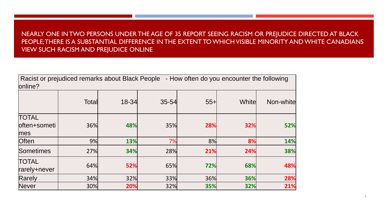#### NEARLY ONE IN TWO PERSONS UNDER THE AGE OF 35 REPORT SEEING RACISM OR PREJUDICE DIRECTED AT BLACK PEOPLE; THERE IS A SUBSTANTIAL DIFFERENCE IN THE EXTENT TO WHICH VISIBLE MINORITY AND WHITE CANADIANS VIEW SUCH RACISM AND PREJUDICE ONLINE

| Racist or prejudiced remarks about Black People - How often do you encounter the following<br>online? |       |           |           |        |        |           |
|-------------------------------------------------------------------------------------------------------|-------|-----------|-----------|--------|--------|-----------|
|                                                                                                       | Total | $18 - 34$ | $35 - 54$ | $55 +$ | Whitel | Non-white |
| <b>TOTAL</b><br>often+someti<br>mes                                                                   | 36%   | 48%       | 35%       | 28%    | 32%    | 52%       |
| <b>Often</b>                                                                                          | 9%    | 13%       | 7%        | 8%     | 8%     | 14%       |
| Sometimes                                                                                             | 27%   | 34%       | 28%       | 21%    | 24%    | 38%       |
| <b>TOTAL</b><br>rarely+never                                                                          | 64%   | 52%       | 65%       | 72%    | 68%    | 48%       |
| Rarely                                                                                                | 34%   | 32%       | 33%       | 36%    | 36%    | 28%       |
| Never                                                                                                 | 30%   | 20%       | 32%       | 35%    | 32%    | 21%       |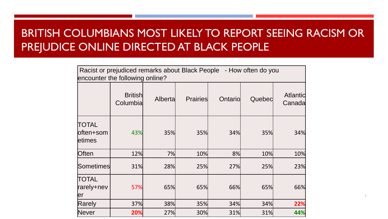# BRITISH COLUMBIANS MOST LIKELY TO REPORT SEEING RACISM OR PREJUDICE ONLINE DIRECTED AT BLACK PEOPLE

| Racist or prejudiced remarks about Black People - How often do you<br>encounter the following online? |                            |          |                 |         |        |                           |
|-------------------------------------------------------------------------------------------------------|----------------------------|----------|-----------------|---------|--------|---------------------------|
|                                                                                                       | <b>British</b><br>Columbia | Albertal | <b>Prairies</b> | Ontario | Quebed | <b>Atlantic</b><br>Canada |
| TOTAL<br>loften+som<br>etimes                                                                         | 43%                        | 35%      | 35%             | 34%     | 35%    | 34%                       |
| Often                                                                                                 | 12%                        | 7%       | 10%             | 8%      | 10%    | 10%                       |
| lSometimes                                                                                            | 31%                        | 28%      | 25%             | 27%     | 25%    | 23%                       |
| <b>TOTAL</b><br>rarely+nev<br>ler                                                                     | 57%                        | 65%      | 65%             | 66%     | 65%    | 66%                       |
| Rarely                                                                                                | 37%                        | 38%      | 35%             | 34%     | 34%    | 22%                       |
| Never                                                                                                 | 20%                        | 27%      | 30%             | 31%     | 31%    | 44%                       |

7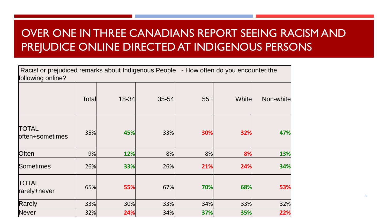# OVER ONE IN THREE CANADIANS REPORT SEEING RACISM AND PREJUDICE ONLINE DIRECTED AT INDIGENOUS PERSONS

| Racist or prejudiced remarks about Indigenous People - How often do you encounter the<br>following online? |       |       |           |        |        |           |
|------------------------------------------------------------------------------------------------------------|-------|-------|-----------|--------|--------|-----------|
|                                                                                                            | Total | 18-34 | $35 - 54$ | $55 +$ | Whitel | Non-white |
| <b>TOTAL</b><br>often+sometimes                                                                            | 35%   | 45%   | 33%       | 30%    | 32%    | 47%       |
| Often                                                                                                      | 9%    | 12%   | 8%        | 8%     | 8%     | 13%       |
| Sometimes                                                                                                  | 26%   | 33%   | 26%       | 21%    | 24%    | 34%       |
| TOTAL<br>rarely+never                                                                                      | 65%   | 55%   | 67%       | 70%    | 68%    | 53%       |
| Rarely                                                                                                     | 33%   | 30%   | 33%       | 34%    | 33%    | 32%       |
| <b>Never</b>                                                                                               | 32%   | 24%   | 34%       | 37%    | 35%    | 22%       |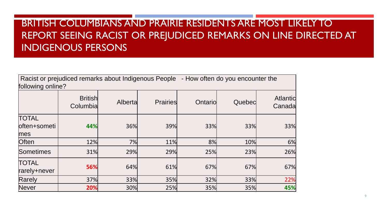#### BRITISH COLUMBIANS AND PRAIRIE RESIDENTS ARE MOST LIKELY TO REPORT SEEING RACIST OR PREJUDICED REMARKS ON LINE DIRECTED AT INDIGENOUS PERSONS

| Racist or prejudiced remarks about Indigenous People<br>- How often do you encounter the<br>following online? |                            |          |                 |         |        |                           |  |
|---------------------------------------------------------------------------------------------------------------|----------------------------|----------|-----------------|---------|--------|---------------------------|--|
|                                                                                                               | <b>British</b><br>Columbia | Albertal | <b>Prairies</b> | Ontario | Quebed | <b>Atlantic</b><br>Canada |  |
| <b>TOTAL</b><br>loften+someti<br>mes                                                                          | 44%                        | 36%      | 39%             | 33%     | 33%    | 33%                       |  |
| <b>Often</b>                                                                                                  | 12%                        | 7%       | 11%             | 8%      | 10%    | 6%                        |  |
| Sometimes                                                                                                     | 31%                        | 29%      | 29%             | 25%     | 23%    | 26%                       |  |
| <b>TOTAL</b><br>rarely+never                                                                                  | 56%                        | 64%      | 61%             | 67%     | 67%    | 67%                       |  |
| Rarely                                                                                                        | 37%                        | 33%      | 35%             | 32%     | 33%    | 22%                       |  |
| Never                                                                                                         | 20%                        | 30%      | 25%             | 35%     | 35%    | 45%                       |  |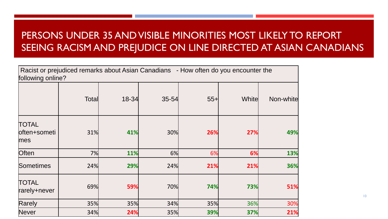#### PERSONS UNDER 35 AND VISIBLE MINORITIES MOST LIKELY TO REPORT SEEING RACISM AND PREJUDICE ON LINE DIRECTED AT ASIAN CANADIANS

| following online?                   |       |       |           |        | Racist or prejudiced remarks about Asian Canadians - How often do you encounter the |           |
|-------------------------------------|-------|-------|-----------|--------|-------------------------------------------------------------------------------------|-----------|
|                                     | Total | 18-34 | $35 - 54$ | $55 +$ | White                                                                               | Non-white |
| <b>TOTAL</b><br>often+someti<br>mes | 31%   | 41%   | 30%       | 26%    | 27%                                                                                 | 49%       |
| <b>Often</b>                        | 7%    | 11%   | 6%        | 6%     | 6%                                                                                  | 13%       |
| <b>Sometimes</b>                    | 24%   | 29%   | 24%       | 21%    | 21%                                                                                 | 36%       |
| <b>TOTAL</b><br>rarely+never        | 69%   | 59%   | 70%       | 74%    | 73%                                                                                 | 51%       |
| Rarely                              | 35%   | 35%   | 34%       | 35%    | 36%                                                                                 | 30%       |
| Never                               | 34%   | 24%   | 35%       | 39%    | 37%                                                                                 | 21%       |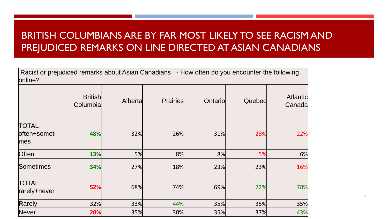#### BRITISH COLUMBIANS ARE BY FAR MOST LIKELY TO SEE RACISM AND PREJUDICED REMARKS ON LINE DIRECTED AT ASIAN CANADIANS

| Racist or prejudiced remarks about Asian Canadians - How often do you encounter the following<br>online? |                            |          |                 |         |        |                           |
|----------------------------------------------------------------------------------------------------------|----------------------------|----------|-----------------|---------|--------|---------------------------|
|                                                                                                          | <b>British</b><br>Columbia | Albertal | <b>Prairies</b> | Ontario | Quebec | <b>Atlantic</b><br>Canada |
| <b>TOTAL</b><br>often+someti<br>mes                                                                      | 48%                        | 32%      | 26%             | 31%     | 28%    | 22%                       |
| <b>Often</b>                                                                                             | 13%                        | 5%       | 8%              | 8%      | 5%     | 6%                        |
| Sometimes                                                                                                | 34%                        | 27%      | 18%             | 23%     | 23%    | 16%                       |
| <b>TOTAL</b><br>rarely+never                                                                             | 52%                        | 68%      | 74%             | 69%     | 72%    | 78%                       |
| Rarely                                                                                                   | 32%                        | 33%      | 44%             | 35%     | 35%    | 35%                       |
| Never                                                                                                    | 20%                        | 35%      | 30%             | 35%     | 37%    | 43%                       |